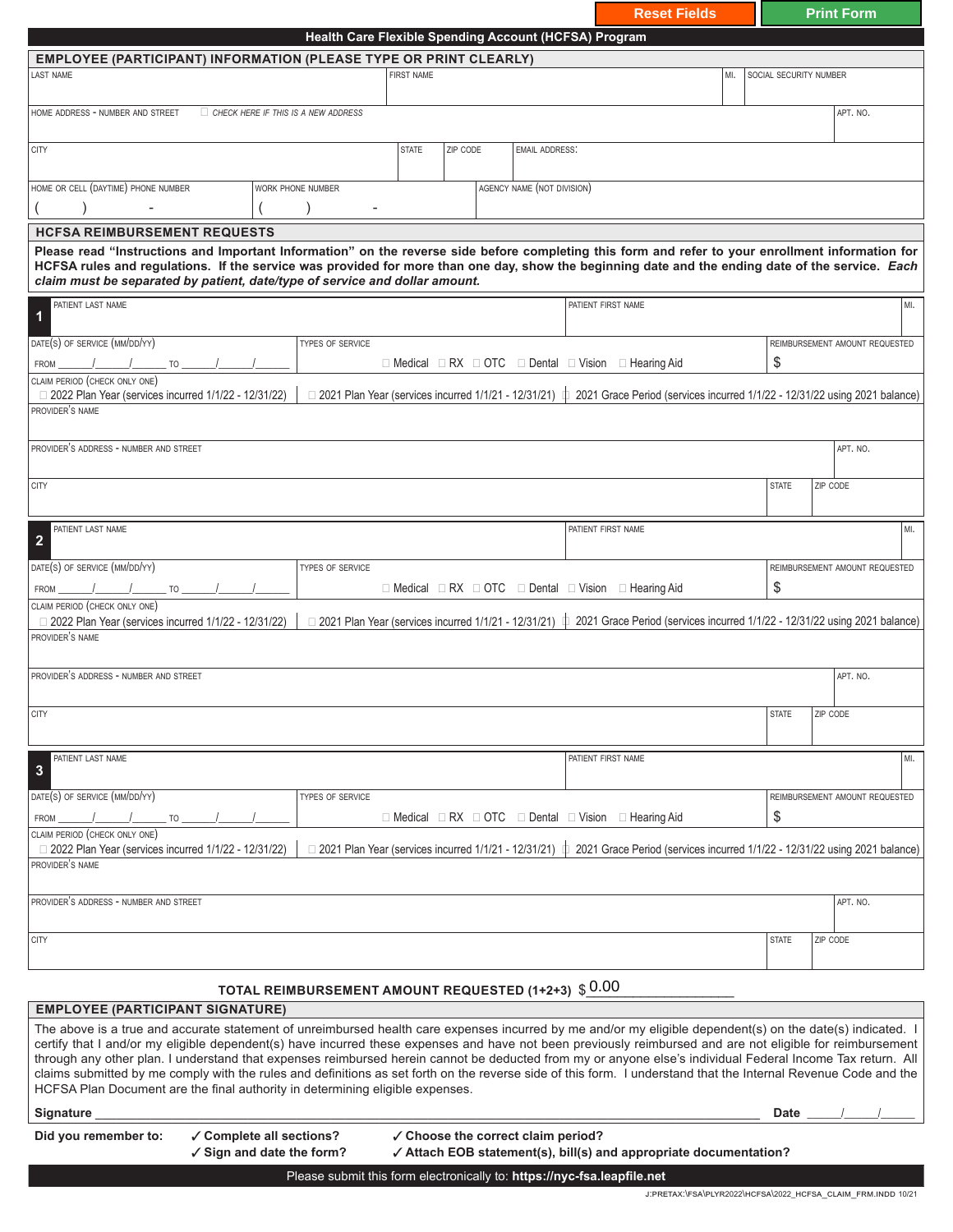|                                                                                                                                                                                                                                                                                                                                                                                                                                                                                                                                                                                                                                                                                                                                            |                                                                  |                                                                         |                                    |          |                            |                    | <b>Reset Fields</b>                                                                                                                                       |     |                        | <b>Print Form</b> |                                |
|--------------------------------------------------------------------------------------------------------------------------------------------------------------------------------------------------------------------------------------------------------------------------------------------------------------------------------------------------------------------------------------------------------------------------------------------------------------------------------------------------------------------------------------------------------------------------------------------------------------------------------------------------------------------------------------------------------------------------------------------|------------------------------------------------------------------|-------------------------------------------------------------------------|------------------------------------|----------|----------------------------|--------------------|-----------------------------------------------------------------------------------------------------------------------------------------------------------|-----|------------------------|-------------------|--------------------------------|
|                                                                                                                                                                                                                                                                                                                                                                                                                                                                                                                                                                                                                                                                                                                                            |                                                                  | Health Care Flexible Spending Account (HCFSA) Program                   |                                    |          |                            |                    |                                                                                                                                                           |     |                        |                   |                                |
| <b>EMPLOYEE (PARTICIPANT) INFORMATION (PLEASE TYPE OR PRINT CLEARLY)</b>                                                                                                                                                                                                                                                                                                                                                                                                                                                                                                                                                                                                                                                                   |                                                                  |                                                                         |                                    |          |                            |                    |                                                                                                                                                           |     |                        |                   |                                |
| AST NAME                                                                                                                                                                                                                                                                                                                                                                                                                                                                                                                                                                                                                                                                                                                                   |                                                                  |                                                                         | <b>FIRST NAME</b>                  |          |                            |                    |                                                                                                                                                           | MI. | SOCIAL SECURITY NUMBER |                   |                                |
| HOME ADDRESS - NUMBER AND STREET                                                                                                                                                                                                                                                                                                                                                                                                                                                                                                                                                                                                                                                                                                           | $\Box$ CHECK HERE IF THIS IS A NEW ADDRESS                       |                                                                         |                                    |          |                            |                    |                                                                                                                                                           |     |                        | APT. NO.          |                                |
| <b>CITY</b>                                                                                                                                                                                                                                                                                                                                                                                                                                                                                                                                                                                                                                                                                                                                |                                                                  |                                                                         | <b>STATE</b>                       | ZIP CODE | <b>EMAIL ADDRESS:</b>      |                    |                                                                                                                                                           |     |                        |                   |                                |
| HOME OR CELL (DAYTIME) PHONE NUMBER                                                                                                                                                                                                                                                                                                                                                                                                                                                                                                                                                                                                                                                                                                        |                                                                  | WORK PHONE NUMBER                                                       |                                    |          | AGENCY NAME (NOT DIVISION) |                    |                                                                                                                                                           |     |                        |                   |                                |
| <b>HCFSA REIMBURSEMENT REQUESTS</b>                                                                                                                                                                                                                                                                                                                                                                                                                                                                                                                                                                                                                                                                                                        |                                                                  |                                                                         |                                    |          |                            |                    |                                                                                                                                                           |     |                        |                   |                                |
| Please read "Instructions and Important Information" on the reverse side before completing this form and refer to your enrollment information for<br>HCFSA rules and regulations. If the service was provided for more than one day, show the beginning date and the ending date of the service. Each<br>claim must be separated by patient, date/type of service and dollar amount.                                                                                                                                                                                                                                                                                                                                                       |                                                                  |                                                                         |                                    |          |                            |                    |                                                                                                                                                           |     |                        |                   |                                |
| PATIENT LAST NAME<br>1                                                                                                                                                                                                                                                                                                                                                                                                                                                                                                                                                                                                                                                                                                                     |                                                                  |                                                                         |                                    |          |                            | PATIENT FIRST NAME |                                                                                                                                                           |     |                        |                   | MI.                            |
| DATE(S) OF SERVICE (MM/DD/YY)                                                                                                                                                                                                                                                                                                                                                                                                                                                                                                                                                                                                                                                                                                              |                                                                  | TYPES OF SERVICE                                                        |                                    |          |                            |                    |                                                                                                                                                           |     |                        |                   | REIMBURSEMENT AMOUNT REQUESTED |
| <b>FROM</b><br><b>TO</b>                                                                                                                                                                                                                                                                                                                                                                                                                                                                                                                                                                                                                                                                                                                   |                                                                  |                                                                         |                                    |          |                            |                    | $\Box$ Medical $\Box$ RX $\Box$ OTC $\Box$ Dental $\Box$ Vision $\Box$ Hearing Aid                                                                        |     | \$                     |                   |                                |
| CLAIM PERIOD (CHECK ONLY ONE)<br>□ 2022 Plan Year (services incurred 1/1/22 - 12/31/22)                                                                                                                                                                                                                                                                                                                                                                                                                                                                                                                                                                                                                                                    |                                                                  |                                                                         |                                    |          |                            |                    | $\Box$ 2021 Plan Year (services incurred 1/1/21 - 12/31/21) $\,\,\,\downarrow$ 2021 Grace Period (services incurred 1/1/22 - 12/31/22 using 2021 balance) |     |                        |                   |                                |
| PROVIDER'S NAME                                                                                                                                                                                                                                                                                                                                                                                                                                                                                                                                                                                                                                                                                                                            |                                                                  |                                                                         |                                    |          |                            |                    |                                                                                                                                                           |     |                        |                   |                                |
| PROVIDER'S ADDRESS - NUMBER AND STREET                                                                                                                                                                                                                                                                                                                                                                                                                                                                                                                                                                                                                                                                                                     |                                                                  |                                                                         |                                    |          |                            |                    |                                                                                                                                                           |     |                        | APT. NO.          |                                |
| <b>CITY</b>                                                                                                                                                                                                                                                                                                                                                                                                                                                                                                                                                                                                                                                                                                                                |                                                                  |                                                                         |                                    |          |                            |                    |                                                                                                                                                           |     | <b>STATE</b>           | ZIP CODE          |                                |
| PATIENT LAST NAME<br>$\overline{2}$                                                                                                                                                                                                                                                                                                                                                                                                                                                                                                                                                                                                                                                                                                        |                                                                  |                                                                         |                                    |          |                            | PATIENT FIRST NAME |                                                                                                                                                           |     |                        |                   | MI.                            |
| DATE(S) OF SERVICE (MM/DD/YY)                                                                                                                                                                                                                                                                                                                                                                                                                                                                                                                                                                                                                                                                                                              |                                                                  | TYPES OF SERVICE                                                        |                                    |          |                            |                    |                                                                                                                                                           |     |                        |                   | REIMBURSEMENT AMOUNT REQUESTED |
| TO<br><b>FROM</b>                                                                                                                                                                                                                                                                                                                                                                                                                                                                                                                                                                                                                                                                                                                          |                                                                  |                                                                         |                                    |          |                            |                    | $\Box$ Medical $\Box$ RX $\Box$ OTC $\Box$ Dental $\Box$ Vision $\Box$ Hearing Aid                                                                        |     | \$                     |                   |                                |
| CLAIM PERIOD (CHECK ONLY ONE)<br>□ 2022 Plan Year (services incurred 1/1/22 - 12/31/22)                                                                                                                                                                                                                                                                                                                                                                                                                                                                                                                                                                                                                                                    |                                                                  | □ 2021 Plan Year (services incurred 1/1/21 - 12/31/21)                  |                                    |          |                            | Φ                  | 2021 Grace Period (services incurred 1/1/22 - 12/31/22 using 2021 balance)                                                                                |     |                        |                   |                                |
| PROVIDER'S NAME                                                                                                                                                                                                                                                                                                                                                                                                                                                                                                                                                                                                                                                                                                                            |                                                                  |                                                                         |                                    |          |                            |                    |                                                                                                                                                           |     |                        |                   |                                |
| PROVIDER'S ADDRESS - NUMBER AND STREET                                                                                                                                                                                                                                                                                                                                                                                                                                                                                                                                                                                                                                                                                                     |                                                                  |                                                                         |                                    |          |                            |                    |                                                                                                                                                           |     |                        | APT. NO.          |                                |
| <b>CITY</b>                                                                                                                                                                                                                                                                                                                                                                                                                                                                                                                                                                                                                                                                                                                                |                                                                  |                                                                         |                                    |          |                            |                    |                                                                                                                                                           |     | <b>STATE</b>           | ZIP CODE          |                                |
|                                                                                                                                                                                                                                                                                                                                                                                                                                                                                                                                                                                                                                                                                                                                            |                                                                  |                                                                         |                                    |          |                            |                    |                                                                                                                                                           |     |                        |                   |                                |
| PATIENT LAST NAME<br>3                                                                                                                                                                                                                                                                                                                                                                                                                                                                                                                                                                                                                                                                                                                     |                                                                  |                                                                         |                                    |          |                            | PATIENT FIRST NAME |                                                                                                                                                           |     |                        |                   | MI.                            |
|                                                                                                                                                                                                                                                                                                                                                                                                                                                                                                                                                                                                                                                                                                                                            |                                                                  |                                                                         |                                    |          |                            |                    |                                                                                                                                                           |     |                        |                   |                                |
| DATE(S) OF SERVICE (MM/DD/YY)<br>TO<br><b>FROM</b>                                                                                                                                                                                                                                                                                                                                                                                                                                                                                                                                                                                                                                                                                         |                                                                  | TYPES OF SERVICE                                                        |                                    |          |                            |                    | $\Box$ Medical $\Box$ RX $\Box$ OTC $\Box$ Dental $\Box$ Vision $\Box$ Hearing Aid                                                                        |     | \$                     |                   | REIMBURSEMENT AMOUNT REQUESTED |
| CLAIM PERIOD (CHECK ONLY ONE)<br>□ 2022 Plan Year (services incurred 1/1/22 - 12/31/22)                                                                                                                                                                                                                                                                                                                                                                                                                                                                                                                                                                                                                                                    |                                                                  |                                                                         |                                    |          |                            |                    | $\Box$ 2021 Plan Year (services incurred 1/1/21 - 12/31/21) $\,\,\,\downarrow$ 2021 Grace Period (services incurred 1/1/22 - 12/31/22 using 2021 balance) |     |                        |                   |                                |
| PROVIDER'S NAME                                                                                                                                                                                                                                                                                                                                                                                                                                                                                                                                                                                                                                                                                                                            |                                                                  |                                                                         |                                    |          |                            |                    |                                                                                                                                                           |     |                        |                   |                                |
| PROVIDER'S ADDRESS - NUMBER AND STREET                                                                                                                                                                                                                                                                                                                                                                                                                                                                                                                                                                                                                                                                                                     |                                                                  |                                                                         |                                    |          |                            |                    |                                                                                                                                                           |     |                        | APT. NO.          |                                |
| <b>CITY</b>                                                                                                                                                                                                                                                                                                                                                                                                                                                                                                                                                                                                                                                                                                                                |                                                                  |                                                                         |                                    |          |                            |                    |                                                                                                                                                           |     | <b>STATE</b>           | ZIP CODE          |                                |
|                                                                                                                                                                                                                                                                                                                                                                                                                                                                                                                                                                                                                                                                                                                                            |                                                                  | TOTAL REIMBURSEMENT AMOUNT REQUESTED (1+2+3) $$0.00$                    |                                    |          |                            |                    |                                                                                                                                                           |     |                        |                   |                                |
| <b>EMPLOYEE (PARTICIPANT SIGNATURE)</b>                                                                                                                                                                                                                                                                                                                                                                                                                                                                                                                                                                                                                                                                                                    |                                                                  |                                                                         |                                    |          |                            |                    |                                                                                                                                                           |     |                        |                   |                                |
| The above is a true and accurate statement of unreimbursed health care expenses incurred by me and/or my eligible dependent(s) on the date(s) indicated. I<br>certify that I and/or my eligible dependent(s) have incurred these expenses and have not been previously reimbursed and are not eligible for reimbursement<br>through any other plan. I understand that expenses reimbursed herein cannot be deducted from my or anyone else's individual Federal Income Tax return. All<br>claims submitted by me comply with the rules and definitions as set forth on the reverse side of this form. I understand that the Internal Revenue Code and the<br>HCFSA Plan Document are the final authority in determining eligible expenses. |                                                                  |                                                                         |                                    |          |                            |                    |                                                                                                                                                           |     |                        |                   |                                |
| <b>Signature</b>                                                                                                                                                                                                                                                                                                                                                                                                                                                                                                                                                                                                                                                                                                                           |                                                                  |                                                                         |                                    |          |                            |                    |                                                                                                                                                           |     | <b>Date</b>            |                   |                                |
| Did you remember to:                                                                                                                                                                                                                                                                                                                                                                                                                                                                                                                                                                                                                                                                                                                       | ✓ Complete all sections?<br>$\checkmark$ Sign and date the form? |                                                                         | √ Choose the correct claim period? |          |                            |                    | √ Attach EOB statement(s), bill(s) and appropriate documentation?                                                                                         |     |                        |                   |                                |
|                                                                                                                                                                                                                                                                                                                                                                                                                                                                                                                                                                                                                                                                                                                                            |                                                                  | Please submit this form electronically to: https://nyc-fsa.leapfile.net |                                    |          |                            |                    |                                                                                                                                                           |     |                        |                   |                                |
|                                                                                                                                                                                                                                                                                                                                                                                                                                                                                                                                                                                                                                                                                                                                            |                                                                  |                                                                         |                                    |          |                            |                    | J:PRETAX:\FSA\PLYR2022\HCFSA\2022_HCFSA_CLAIM_FRM.INDD 10/21                                                                                              |     |                        |                   |                                |